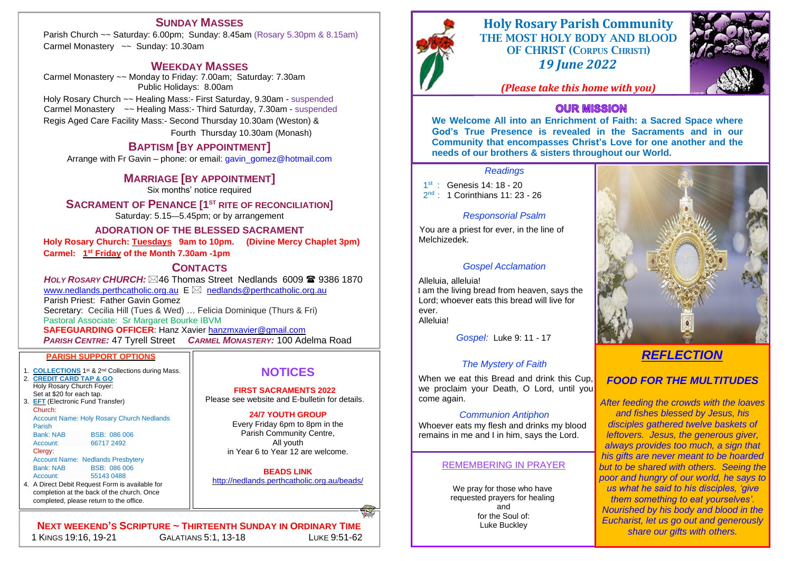# **Holy Rosary Parish Community**





THE MOST HOLY BODY AND BLOOD OF CHRIST (CORPUS CHRISTI) *19 June 2022*

*(Please take this home with you)*

## **OUR MISSION**

## REMEMBERING IN PRAYER

1 st : Genesis 14: 18 - 20 2<sup>nd</sup> : 1 Corinthians 11: 23 - 26

> We pray for those who have requested prayers for healing and for the Soul of: Luke Buckley

You are a priest for ever, in the line of Melchizedek.

**NEXT WEEKEND'S SCRIPTURE ~ THIRTEENTH SUNDAY IN ORDINARY TIME** 1 KINGS 19:16, 19-21 GALATIANS 5:1, 13-18 LUKE 9:51-62

## *Readings*

## *Responsorial Psalm*

## *Gospel Acclamation*

Alleluia, alleluia! I am the living bread from heaven, says the Lord; whoever eats this bread will live for ever. Alleluia!

*Gospel:* Luke 9: 11 - 17

## *The Mystery of Faith*

When we eat this Bread and drink this Cup, we proclaim your Death, O Lord, until you come again.

## *Communion Antiphon*

Whoever eats my flesh and drinks my blood remains in me and I in him, says the Lord.

# *REFLECTION*

## *FOOD FOR THE MULTITUDES*

*After feeding the crowds with the loaves and fishes blessed by Jesus, his disciples gathered twelve baskets of leftovers. Jesus, the generous giver, always provides too much, a sign that his gifts are never meant to be hoarded but to be shared with others. Seeing the poor and hungry of our world, he says to us what he said to his disciples, 'give them something to eat yourselves'. Nourished by his body and blood in the Eucharist, let us go out and generously share our gifts with others.*

**We Welcome All into an Enrichment of Faith: a Sacred Space where God's True Presence is revealed in the Sacraments and in our Community that encompasses Christ's Love for one another and the needs of our brothers & sisters throughout our World.**

*HOLY ROSARY CHURCH:*  $\boxtimes$ 46 Thomas Street Nedlands 6009 **2** 9386 1870 [www.nedlands.perthcatholic.org.au](http://www.nedlands.perthcatholic.org.au/)  $E \boxtimes$  nedlands@perthcatholic.org.au Parish Priest: Father Gavin Gomez Secretary: Cecilia Hill (Tues & Wed) … Felicia Dominique (Thurs & Fri) Pastoral Associate: Sr Margaret Bourke IBVM **SAFEGUARDING OFFICER**: Hanz Xavier [hanzmxavier@gmail.com](mailto:hanzmxavier@gmail.com?subject=SAFEGURADING%20HOLY%20ROSARY%20NEDLANDS%20-%20QUERY) *PARISH CENTRE:* 47 Tyrell Street *CARMEL MONASTERY:* 100 Adelma Road

- 1. **COLLECTIONS** 1<sup>st</sup> & 2<sup>nd</sup> Collections during Mass.
- 2. **CREDIT CARD TAP & GO**  Holy Rosary Church Foyer: Set at \$20 for each tap.

3. **EFT** (Electronic Fund Transfer) Church: Account Name: Holy Rosary Church Nedlands Parish Bank: NAB BSB: 086 006

## **NOTICES**

Account: 66717 2492 Clergy: Account Name: Nedlands Presbytery Bank: NAB BSB: 086 006

**FIRST SACRAMENTS 2022** Please see website and E-bulletin for details.

## **24/7 YOUTH GROUP**

Every Friday 6pm to 8pm in the Parish Community Centre, All youth in Year 6 to Year 12 are welcome.

## **BEADS LINK**

<http://nedlands.perthcatholic.org.au/beads/>

## **SUNDAY MASSES**

Parish Church ~~ Saturday: 6.00pm; Sunday: 8.45am (Rosary 5.30pm & 8.15am) Carmel Monastery ~~ Sunday: 10.30am

## **WEEKDAY MASSES**

Carmel Monastery ~~ Monday to Friday: 7.00am; Saturday: 7.30am Public Holidays: 8.00am Holy Rosary Church ~~ Healing Mass:- First Saturday, 9.30am - suspended Carmel Monastery ~~ Healing Mass:- Third Saturday, 7.30am - suspended Regis Aged Care Facility Mass:- Second Thursday 10.30am (Weston) &

Fourth Thursday 10.30am (Monash)

## **BAPTISM [BY APPOINTMENT]**

Arrange with Fr Gavin – phone: or email: [gavin\\_gomez@hotmail.com](mailto:gavin_gomez@hotmail.com)

## **MARRIAGE [BY APPOINTMENT]**

Six months' notice required

## **SACRAMENT OF PENANCE [1ST RITE OF RECONCILIATION]**

Saturday: 5.15—5.45pm; or by arrangement

## **ADORATION OF THE BLESSED SACRAMENT**

**Holy Rosary Church: Tuesdays 9am to 10pm. (Divine Mercy Chaplet 3pm)**

**Carmel: 1 st Friday of the Month 7.30am -1pm**

## **CONTACTS**

## **PARISH SUPPORT OPTIONS**

# Account: 55143 0488

4. A Direct Debit Request Form is available for completion at the back of the church. Once completed, please return to the office.